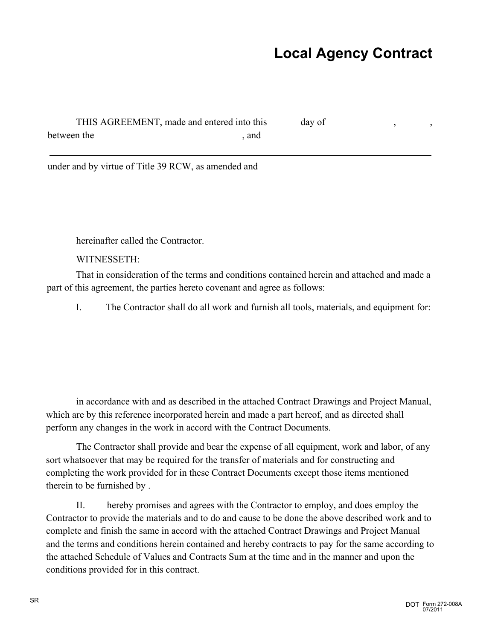## **Local Agency Contract**

| THIS AGREEMENT, made and entered into this |     | day of |  |
|--------------------------------------------|-----|--------|--|
| between the                                | and |        |  |
|                                            |     |        |  |

under and by virtue of Title 39 RCW, as amended and

hereinafter called the Contractor.

WITNESSETH:

That in consideration of the terms and conditions contained herein and attached and made a part of this agreement, the parties hereto covenant and agree as follows:

I. The Contractor shall do all work and furnish all tools, materials, and equipment for:

in accordance with and as described in the attached Contract Drawings and Project Manual, which are by this reference incorporated herein and made a part hereof, and as directed shall perform any changes in the work in accord with the Contract Documents.

The Contractor shall provide and bear the expense of all equipment, work and labor, of any sort whatsoever that may be required for the transfer of materials and for constructing and completing the work provided for in these Contract Documents except those items mentioned therein to be furnished by .

II. hereby promises and agrees with the Contractor to employ, and does employ the Contractor to provide the materials and to do and cause to be done the above described work and to complete and finish the same in accord with the attached Contract Drawings and Project Manual and the terms and conditions herein contained and hereby contracts to pay for the same according to the attached Schedule of Values and Contracts Sum at the time and in the manner and upon the conditions provided for in this contract.